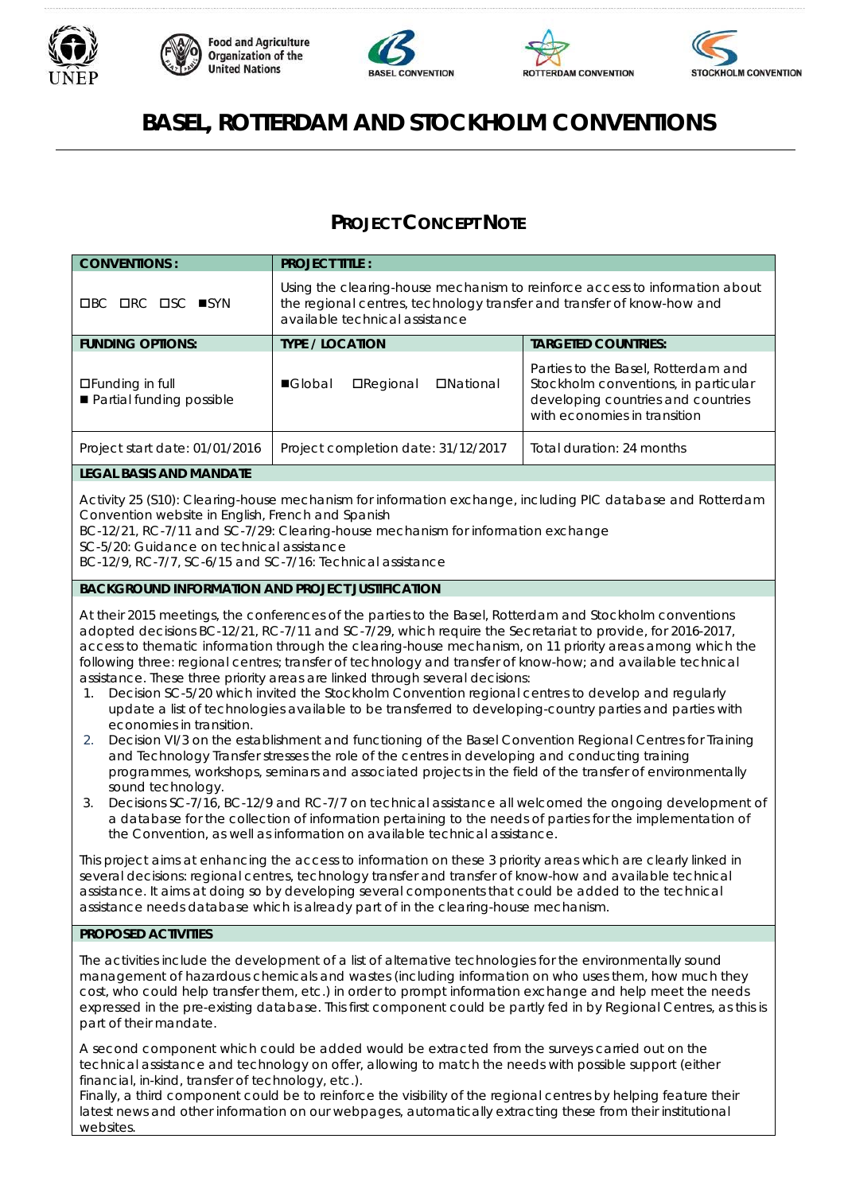

websites.









# **BASEL, ROTTERDAM AND STOCKHOLM CONVENTIONS**

## **PROJECT CONCEPT NOTE**

| <b>CONVENTIONS:</b>                                                                                                                                                                                                                                                                                                                                                                                                                                                                                                                                                                                                                                                                                                                                                                                                                                                                                                                                                                                                                                                                                                                                                                                                                                                                                                                                                                                                                                                                                                                                                                                                                                                                                                                                                                                                                                                              | <b>PROJECT TITLE:</b>                                                                                                                                                                   |                                                                                                                                                   |  |
|----------------------------------------------------------------------------------------------------------------------------------------------------------------------------------------------------------------------------------------------------------------------------------------------------------------------------------------------------------------------------------------------------------------------------------------------------------------------------------------------------------------------------------------------------------------------------------------------------------------------------------------------------------------------------------------------------------------------------------------------------------------------------------------------------------------------------------------------------------------------------------------------------------------------------------------------------------------------------------------------------------------------------------------------------------------------------------------------------------------------------------------------------------------------------------------------------------------------------------------------------------------------------------------------------------------------------------------------------------------------------------------------------------------------------------------------------------------------------------------------------------------------------------------------------------------------------------------------------------------------------------------------------------------------------------------------------------------------------------------------------------------------------------------------------------------------------------------------------------------------------------|-----------------------------------------------------------------------------------------------------------------------------------------------------------------------------------------|---------------------------------------------------------------------------------------------------------------------------------------------------|--|
| <b>OBC ORC OSC ■SYN</b>                                                                                                                                                                                                                                                                                                                                                                                                                                                                                                                                                                                                                                                                                                                                                                                                                                                                                                                                                                                                                                                                                                                                                                                                                                                                                                                                                                                                                                                                                                                                                                                                                                                                                                                                                                                                                                                          | Using the clearing-house mechanism to reinforce access to information about<br>the regional centres, technology transfer and transfer of know-how and<br>available technical assistance |                                                                                                                                                   |  |
| <b>FUNDING OPTIONS:</b>                                                                                                                                                                                                                                                                                                                                                                                                                                                                                                                                                                                                                                                                                                                                                                                                                                                                                                                                                                                                                                                                                                                                                                                                                                                                                                                                                                                                                                                                                                                                                                                                                                                                                                                                                                                                                                                          | <b>TYPE / LOCATION</b>                                                                                                                                                                  | <b>TARGETED COUNTRIES:</b>                                                                                                                        |  |
| □Funding in full<br>Partial funding possible                                                                                                                                                                                                                                                                                                                                                                                                                                                                                                                                                                                                                                                                                                                                                                                                                                                                                                                                                                                                                                                                                                                                                                                                                                                                                                                                                                                                                                                                                                                                                                                                                                                                                                                                                                                                                                     | ■Global<br><b>O</b> Regional<br><b>DNational</b>                                                                                                                                        | Parties to the Basel, Rotterdam and<br>Stockholm conventions, in particular<br>developing countries and countries<br>with economies in transition |  |
| Project start date: 01/01/2016                                                                                                                                                                                                                                                                                                                                                                                                                                                                                                                                                                                                                                                                                                                                                                                                                                                                                                                                                                                                                                                                                                                                                                                                                                                                                                                                                                                                                                                                                                                                                                                                                                                                                                                                                                                                                                                   | Project completion date: 31/12/2017                                                                                                                                                     | Total duration: 24 months                                                                                                                         |  |
| <b>LEGAL BASIS AND MANDATE</b>                                                                                                                                                                                                                                                                                                                                                                                                                                                                                                                                                                                                                                                                                                                                                                                                                                                                                                                                                                                                                                                                                                                                                                                                                                                                                                                                                                                                                                                                                                                                                                                                                                                                                                                                                                                                                                                   |                                                                                                                                                                                         |                                                                                                                                                   |  |
| Activity 25 (S10): Clearing-house mechanism for information exchange, including PIC database and Rotterdam<br>Convention website in English, French and Spanish<br>BC-12/21, RC-7/11 and SC-7/29: Clearing-house mechanism for information exchange<br>SC-5/20: Guidance on technical assistance<br>BC-12/9, RC-7/7, SC-6/15 and SC-7/16: Technical assistance                                                                                                                                                                                                                                                                                                                                                                                                                                                                                                                                                                                                                                                                                                                                                                                                                                                                                                                                                                                                                                                                                                                                                                                                                                                                                                                                                                                                                                                                                                                   |                                                                                                                                                                                         |                                                                                                                                                   |  |
| <b>BACKGROUND INFORMATION AND PROJECT JUSTIFICATION</b>                                                                                                                                                                                                                                                                                                                                                                                                                                                                                                                                                                                                                                                                                                                                                                                                                                                                                                                                                                                                                                                                                                                                                                                                                                                                                                                                                                                                                                                                                                                                                                                                                                                                                                                                                                                                                          |                                                                                                                                                                                         |                                                                                                                                                   |  |
| At their 2015 meetings, the conferences of the parties to the Basel, Rotterdam and Stockholm conventions<br>adopted decisions BC-12/21, RC-7/11 and SC-7/29, which require the Secretariat to provide, for 2016-2017,<br>access to thematic information through the clearing-house mechanism, on 11 priority areas among which the<br>following three: regional centres; transfer of technology and transfer of know-how; and available technical<br>assistance. These three priority areas are linked through several decisions:<br>Decision SC-5/20 which invited the Stockholm Convention regional centres to develop and regularly<br>1.<br>update a list of technologies available to be transferred to developing-country parties and parties with<br>economies in transition.<br>Decision VI/3 on the establishment and functioning of the Basel Convention Regional Centres for Training<br>2.<br>and Technology Transfer stresses the role of the centres in developing and conducting training<br>programmes, workshops, seminars and associated projects in the field of the transfer of environmentally<br>sound technology.<br>Decisions SC-7/16, BC-12/9 and RC-7/7 on technical assistance all welcomed the ongoing development of<br>3.<br>a database for the collection of information pertaining to the needs of parties for the implementation of<br>the Convention, as well as information on available technical assistance.<br>This project aims at enhancing the access to information on these 3 priority areas which are clearly linked in<br>several decisions: regional centres, technology transfer and transfer of know-how and available technical<br>assistance. It aims at doing so by developing several components that could be added to the technical<br>assistance needs database which is already part of in the clearing-house mechanism. |                                                                                                                                                                                         |                                                                                                                                                   |  |
| PROPOSED ACTIVITIES                                                                                                                                                                                                                                                                                                                                                                                                                                                                                                                                                                                                                                                                                                                                                                                                                                                                                                                                                                                                                                                                                                                                                                                                                                                                                                                                                                                                                                                                                                                                                                                                                                                                                                                                                                                                                                                              |                                                                                                                                                                                         |                                                                                                                                                   |  |
| The activities include the development of a list of alternative technologies for the environmentally sound<br>management of hazardous chemicals and wastes (including information on who uses them, how much they<br>cost, who could help transfer them, etc.) in order to prompt information exchange and help meet the needs<br>expressed in the pre-existing database. This first component could be partly fed in by Regional Centres, as this is<br>part of their mandate.                                                                                                                                                                                                                                                                                                                                                                                                                                                                                                                                                                                                                                                                                                                                                                                                                                                                                                                                                                                                                                                                                                                                                                                                                                                                                                                                                                                                  |                                                                                                                                                                                         |                                                                                                                                                   |  |
| A second component which could be added would be extracted from the surveys carried out on the<br>technical assistance and technology on offer, allowing to match the needs with possible support (either<br>financial, in-kind, transfer of technology, etc.).<br>Finally, a third component could be to reinforce the visibility of the regional centres by helping feature their<br>latest news and other information on our webpages, automatically extracting these from their institutional                                                                                                                                                                                                                                                                                                                                                                                                                                                                                                                                                                                                                                                                                                                                                                                                                                                                                                                                                                                                                                                                                                                                                                                                                                                                                                                                                                                |                                                                                                                                                                                         |                                                                                                                                                   |  |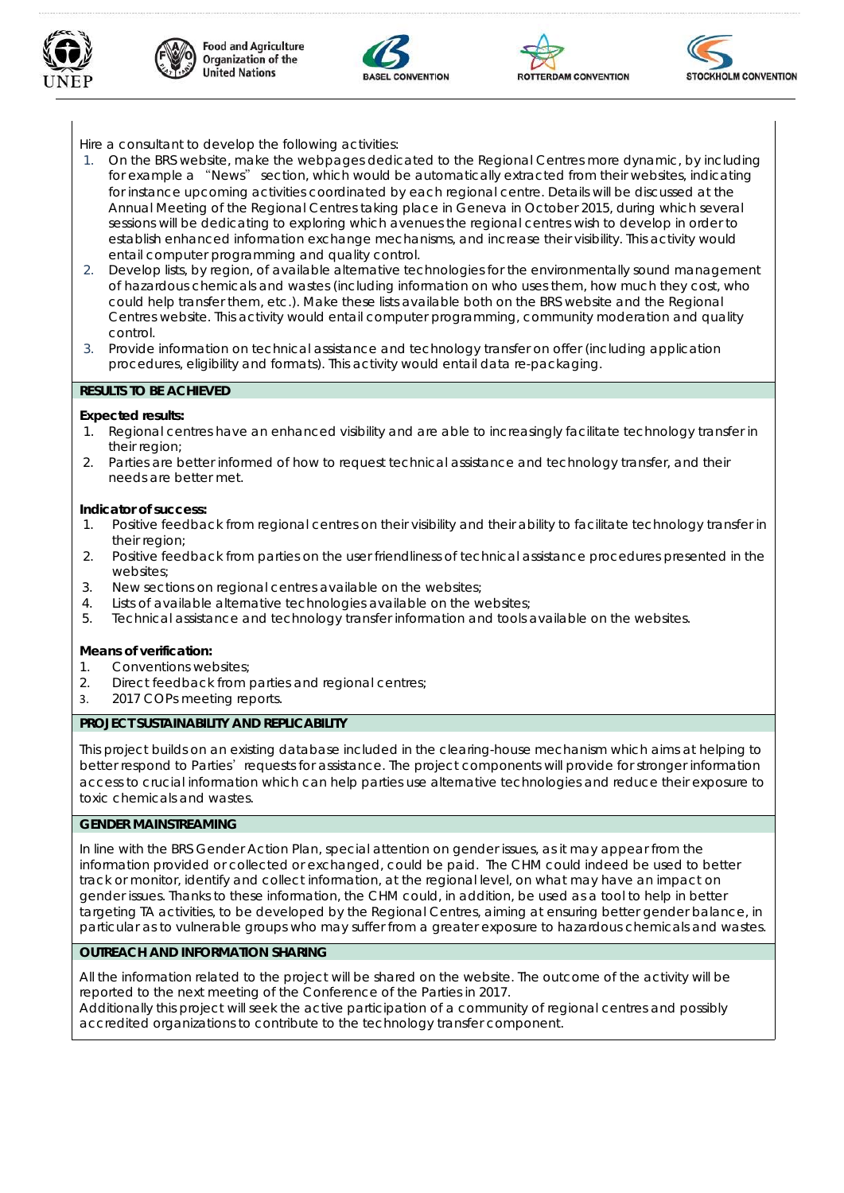









Hire a consultant to develop the following activities:

- 1. On the BRS website, make the webpages dedicated to the Regional Centres more dynamic, by including for example a "News" section, which would be automatically extracted from their websites, indicating for instance upcoming activities coordinated by each regional centre. Details will be discussed at the Annual Meeting of the Regional Centres taking place in Geneva in October 2015, during which several sessions will be dedicating to exploring which avenues the regional centres wish to develop in order to establish enhanced information exchange mechanisms, and increase their visibility. This activity would entail computer programming and quality control.
- 2. Develop lists, by region, of available alternative technologies for the environmentally sound management of hazardous chemicals and wastes (including information on who uses them, how much they cost, who could help transfer them, etc.). Make these lists available both on the BRS website and the Regional Centres website. This activity would entail computer programming, community moderation and quality control.
- 3. Provide information on technical assistance and technology transfer on offer (including application procedures, eligibility and formats). This activity would entail data re-packaging.

#### **RESULTS TO BE ACHIEVED**

#### **Expected results:**

- 1. Regional centres have an enhanced visibility and are able to increasingly facilitate technology transfer in their region;
- 2. Parties are better informed of how to request technical assistance and technology transfer, and their needs are better met.

#### **Indicator of success:**

- 1. Positive feedback from regional centres on their visibility and their ability to facilitate technology transfer in their region;
- 2. Positive feedback from parties on the user friendliness of technical assistance procedures presented in the websites;
- 3. New sections on regional centres available on the websites;
- 4. Lists of available alternative technologies available on the websites;
- 5. Technical assistance and technology transfer information and tools available on the websites.

#### **Means of verification:**

- 1. Conventions websites;
- 2. Direct feedback from parties and regional centres;
- 3. 2017 COPs meeting reports.

#### **PROJECT SUSTAINABILITY AND REPLICABILITY**

This project builds on an existing database included in the clearing-house mechanism which aims at helping to better respond to Parties' requests for assistance. The project components will provide for stronger information access to crucial information which can help parties use alternative technologies and reduce their exposure to toxic chemicals and wastes.

#### **GENDER MAINSTREAMING**

In line with the BRS Gender Action Plan, special attention on gender issues, as it may appear from the information provided or collected or exchanged, could be paid. The CHM could indeed be used to better track or monitor, identify and collect information, at the regional level, on what may have an impact on gender issues. Thanks to these information, the CHM could, in addition, be used as a tool to help in better targeting TA activities, to be developed by the Regional Centres, aiming at ensuring better gender balance, in particular as to vulnerable groups who may suffer from a greater exposure to hazardous chemicals and wastes.

### **OUTREACH AND INFORMATION SHARING**

All the information related to the project will be shared on the website. The outcome of the activity will be reported to the next meeting of the Conference of the Parties in 2017. Additionally this project will seek the active participation of a community of regional centres and possibly

accredited organizations to contribute to the technology transfer component.